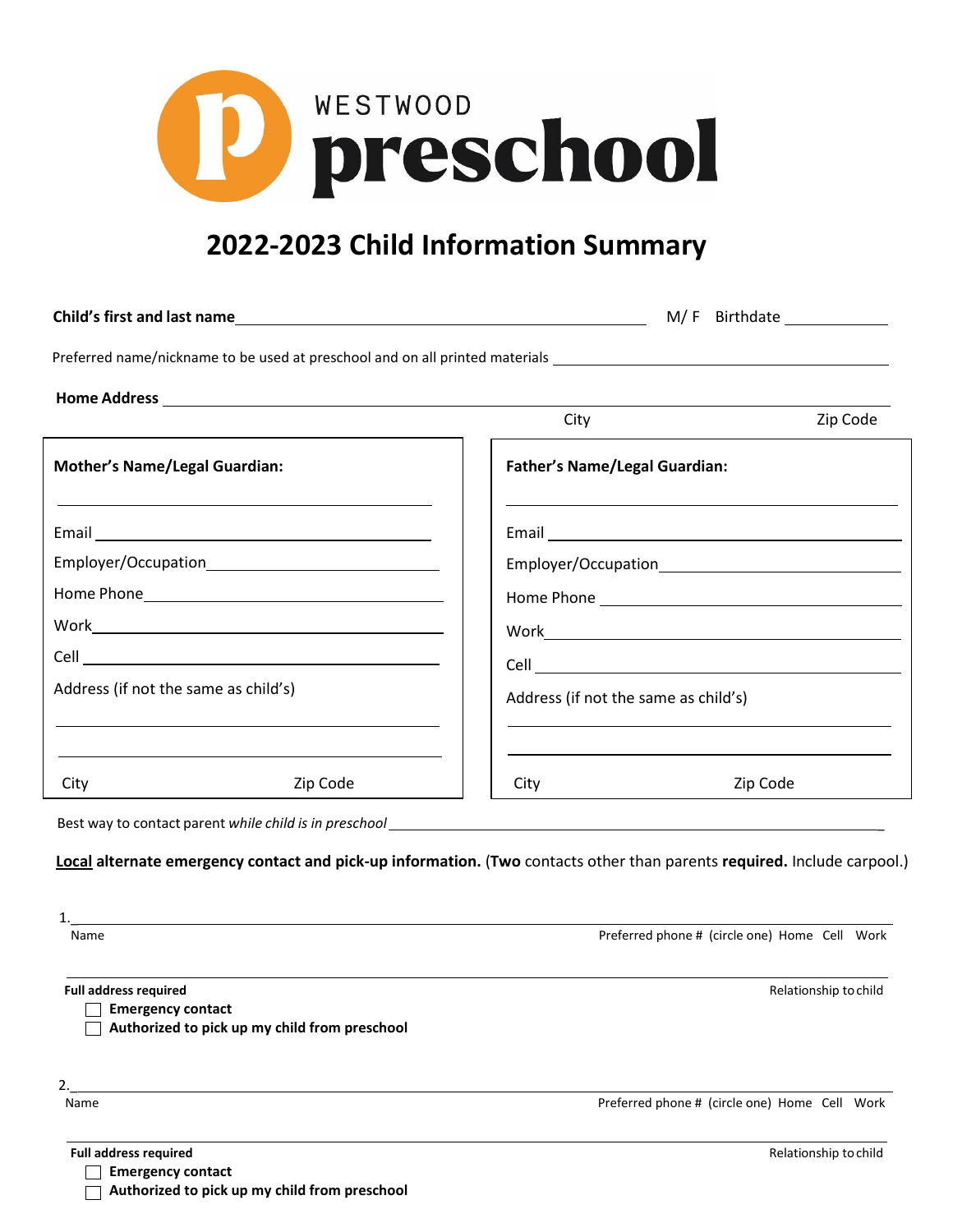

## **2022-2023 Child Information Summary**

|                                      |                                                                                                                                                                                                                                           |                                      | M/F Birthdate ______________ |
|--------------------------------------|-------------------------------------------------------------------------------------------------------------------------------------------------------------------------------------------------------------------------------------------|--------------------------------------|------------------------------|
|                                      |                                                                                                                                                                                                                                           |                                      |                              |
|                                      |                                                                                                                                                                                                                                           |                                      |                              |
|                                      | <u> 1989 - Andrea Santa Andrea Andrea Andrea Andrea Andrea Andrea Andrea Andrea Andrea Andrea Andrea Andrea Andr</u>                                                                                                                      | City                                 | Zip Code                     |
| <b>Mother's Name/Legal Guardian:</b> |                                                                                                                                                                                                                                           | <b>Father's Name/Legal Guardian:</b> |                              |
|                                      | the control of the control of the control of the control of the control of the control of the control of the control of the control of the control of the control of the control of the control of the control of the control             |                                      |                              |
|                                      |                                                                                                                                                                                                                                           |                                      |                              |
|                                      |                                                                                                                                                                                                                                           |                                      |                              |
|                                      |                                                                                                                                                                                                                                           |                                      |                              |
|                                      |                                                                                                                                                                                                                                           |                                      |                              |
| Address (if not the same as child's) |                                                                                                                                                                                                                                           | Address (if not the same as child's) |                              |
| City                                 | the control of the control of the control of the control of the control of the control of the control of the control of the control of the control of the control of the control of the control of the control of the control<br>Zip Code | City                                 | Zip Code                     |
|                                      | $D$ ask $U(x)$ , to contact powert $U(x)$ and $U(x)$ is in procedured                                                                                                                                                                     |                                      |                              |

Best way to contact parent *while child is in preschool* \_

**Local alternate emergency contact and pick-up information.** (**Two** contacts other than parents **required.** Include carpool.)

| Name                                                     | Preferred phone # (circle one) Home Cell Work |
|----------------------------------------------------------|-----------------------------------------------|
| <b>Full address required</b>                             | Relationship to child                         |
| <b>Emergency contact</b>                                 |                                               |
| Authorized to pick up my child from preschool            |                                               |
|                                                          |                                               |
|                                                          | Preferred phone # (circle one) Home Cell Work |
| Name                                                     |                                               |
| <b>Full address required</b><br><b>Emergency contact</b> | Relationship to child                         |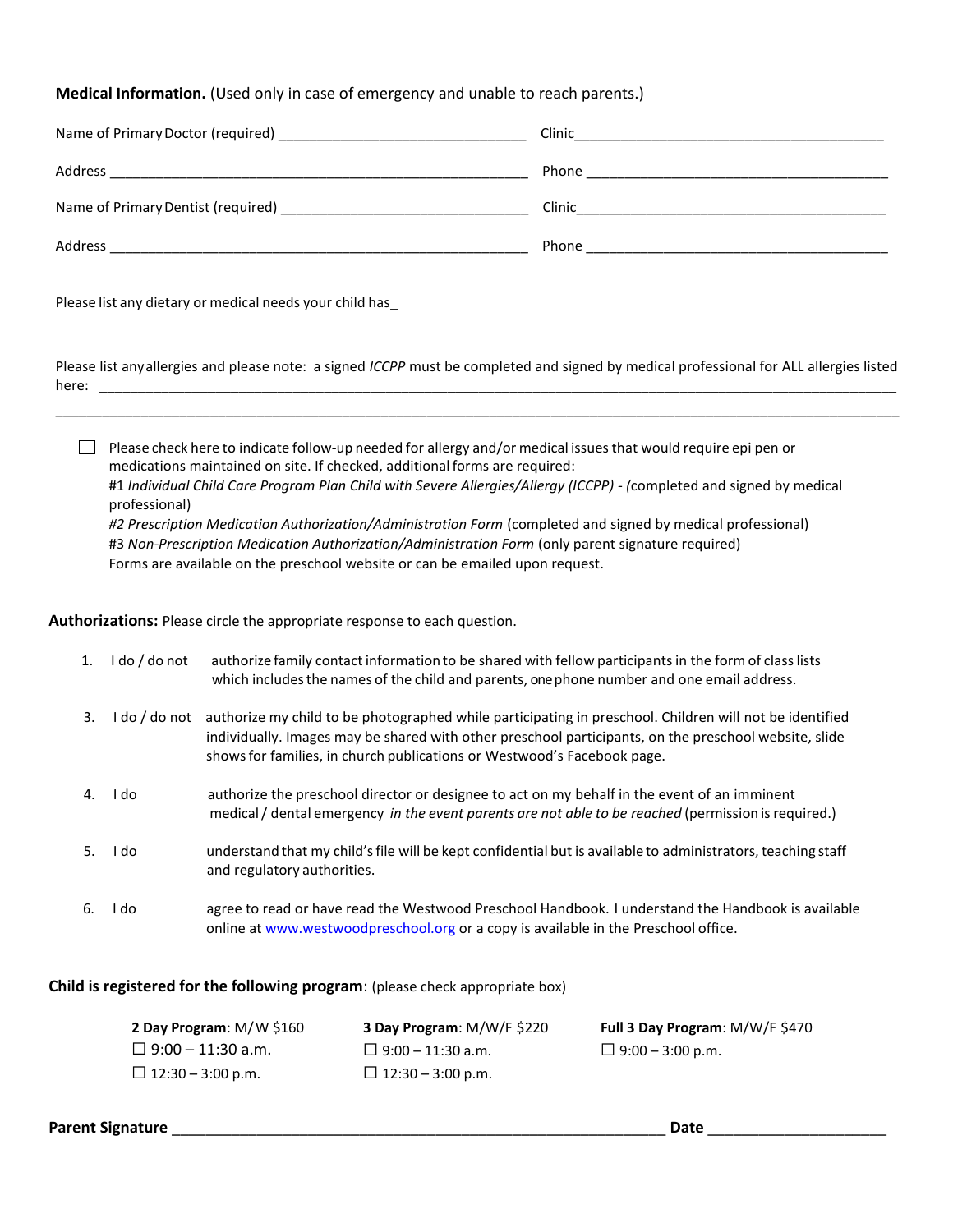## **Medical Information.** (Used only in case of emergency and unable to reach parents.)

Please list anyallergies and please note: a signed *ICCPP* must be completed and signed by medical professional for ALL allergies listed here: \_\_\_\_\_\_\_\_\_\_\_\_\_\_\_\_\_\_\_\_\_\_\_\_\_\_\_\_\_\_\_\_\_\_\_\_\_\_\_\_\_\_\_\_\_\_\_\_\_\_\_\_\_\_\_\_\_\_\_\_\_\_\_\_\_\_\_\_\_\_\_\_\_\_\_\_\_\_\_\_\_\_\_\_\_\_\_\_\_\_\_\_\_\_\_\_\_\_\_\_\_\_\_

\_\_\_\_\_\_\_\_\_\_\_\_\_\_\_\_\_\_\_\_\_\_\_\_\_\_\_\_\_\_\_\_\_\_\_\_\_\_\_\_\_\_\_\_\_\_\_\_\_\_\_\_\_\_\_\_\_\_\_\_\_\_\_\_\_\_\_\_\_\_\_\_\_\_\_\_\_\_\_\_\_\_\_\_\_\_\_\_\_\_\_\_\_\_\_\_\_\_\_\_\_\_\_\_\_\_\_\_\_

**Please check here to indicate follow-up needed for allergy and/or medical issues that would require epi pen or** medications maintained on site. If checked, additional forms are required: #1 *Individual Child Care Program Plan Child with Severe Allergies/Allergy (ICCPP) - (*completed and signed by medical professional) *#2 Prescription Medication Authorization/Administration Form* (completed and signed by medical professional) #3 *Non-Prescription Medication Authorization/Administration Form* (only parent signature required) Forms are available on the preschool website or can be emailed upon request.

**Authorizations:** Please circle the appropriate response to each question.

| 1. | I do / do not | authorize family contact information to be shared with fellow participants in the form of class lists<br>which includes the names of the child and parents, one phone number and one email address.                                                                                         |
|----|---------------|---------------------------------------------------------------------------------------------------------------------------------------------------------------------------------------------------------------------------------------------------------------------------------------------|
| 3. | I do / do not | authorize my child to be photographed while participating in preschool. Children will not be identified<br>individually. Images may be shared with other preschool participants, on the preschool website, slide<br>shows for families, in church publications or Westwood's Facebook page. |
| 4. | I do          | authorize the preschool director or designee to act on my behalf in the event of an imminent<br>medical / dental emergency in the event parents are not able to be reached (permission is required.)                                                                                        |
| 5. | I do          | understand that my child's file will be kept confidential but is available to administrators, teaching staff<br>and regulatory authorities.                                                                                                                                                 |
| 6. | I do          | agree to read or have read the Westwood Preschool Handbook. I understand the Handbook is available<br>online at www.westwoodpreschool.org or a copy is available in the Preschool office.                                                                                                   |

**Child is registered for the following program**: (please check appropriate box)

| 2 Day Program: $M/W$ \$160 | <b>3 Day Program: M/W/F \$220</b> | Full 3 Day Program: M/W/F \$470 |
|----------------------------|-----------------------------------|---------------------------------|
| $\Box$ 9:00 – 11:30 a.m.   | $\Box$ 9:00 – 11:30 a.m.          | □ 9:00 – 3:00 p.m.              |
| $\Box$ 12:30 – 3:00 p.m.   | □ 12:30 – 3:00 p.m.               |                                 |